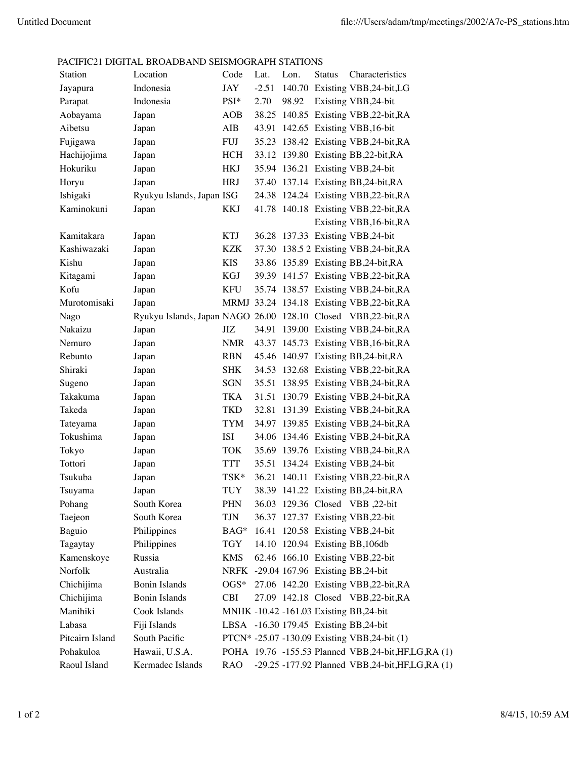## PACIFIC21 DIGITAL BROADBAND SEISMOGRAPH STATIONS

| Station         | Location                                                     | Code       | Lat.    | Lon.  | <b>Status</b> | Characteristics                                    |
|-----------------|--------------------------------------------------------------|------------|---------|-------|---------------|----------------------------------------------------|
| Jayapura        | Indonesia                                                    | <b>JAY</b> | $-2.51$ |       |               | 140.70 Existing VBB,24-bit,LG                      |
| Parapat         | Indonesia                                                    | PSI*       | 2.70    | 98.92 |               | Existing VBB, 24-bit                               |
| Aobayama        | Japan                                                        | <b>AOB</b> |         |       |               | 38.25 140.85 Existing VBB, 22-bit, RA              |
| Aibetsu         | Japan                                                        | AIB        |         |       |               | 43.91 142.65 Existing VBB, 16-bit                  |
| Fujigawa        | Japan                                                        | FUJ        |         |       |               | 35.23 138.42 Existing VBB, 24-bit, RA              |
| Hachijojima     | Japan                                                        | HCH        |         |       |               | 33.12 139.80 Existing BB, 22-bit, RA               |
| Hokuriku        | Japan                                                        | <b>HKJ</b> |         |       |               | 35.94 136.21 Existing VBB,24-bit                   |
| Horyu           | Japan                                                        | <b>HRJ</b> |         |       |               | 37.40 137.14 Existing BB, 24-bit, RA               |
| Ishigaki        | Ryukyu Islands, Japan ISG                                    |            |         |       |               | 24.38 124.24 Existing VBB, 22-bit, RA              |
| Kaminokuni      | Japan                                                        | KKJ        |         |       |               | 41.78 140.18 Existing VBB, 22-bit, RA              |
|                 |                                                              |            |         |       |               | Existing VBB, 16-bit, RA                           |
| Kamitakara      | Japan                                                        | KTJ        |         |       |               | 36.28 137.33 Existing VBB, 24-bit                  |
| Kashiwazaki     | Japan                                                        | KZK        |         |       |               | 37.30 138.5 2 Existing VBB, 24-bit, RA             |
| Kishu           | Japan                                                        | KIS        |         |       |               | 33.86 135.89 Existing BB, 24-bit, RA               |
| Kitagami        | Japan                                                        | <b>KGJ</b> |         |       |               | 39.39 141.57 Existing VBB, 22-bit, RA              |
| Kofu            | Japan                                                        | <b>KFU</b> |         |       |               | 35.74 138.57 Existing VBB, 24-bit, RA              |
| Murotomisaki    | Japan                                                        |            |         |       |               | MRMJ 33.24 134.18 Existing VBB,22-bit,RA           |
| Nago            | Ryukyu Islands, Japan NAGO 26.00 128.10 Closed VBB,22-bit,RA |            |         |       |               |                                                    |
| Nakaizu         | Japan                                                        | JIZ        |         |       |               | 34.91 139.00 Existing VBB, 24-bit, RA              |
| Nemuro          | Japan                                                        | <b>NMR</b> |         |       |               | 43.37 145.73 Existing VBB, 16-bit, RA              |
| Rebunto         | Japan                                                        | <b>RBN</b> |         |       |               | 45.46 140.97 Existing BB, 24-bit, RA               |
| Shiraki         | Japan                                                        | <b>SHK</b> |         |       |               | 34.53 132.68 Existing VBB, 22-bit, RA              |
| Sugeno          | Japan                                                        | <b>SGN</b> |         |       |               | 35.51 138.95 Existing VBB, 24-bit, RA              |
| Takakuma        | Japan                                                        | TKA        |         |       |               | 31.51 130.79 Existing VBB, 24-bit, RA              |
| Takeda          | Japan                                                        | TKD        |         |       |               | 32.81 131.39 Existing VBB, 24-bit, RA              |
| Tateyama        | Japan                                                        | TYM        |         |       |               | 34.97 139.85 Existing VBB, 24-bit, RA              |
| Tokushima       | Japan                                                        | <b>ISI</b> |         |       |               | 34.06 134.46 Existing VBB, 24-bit, RA              |
| Tokyo           | Japan                                                        | <b>TOK</b> |         |       |               | 35.69 139.76 Existing VBB, 24-bit, RA              |
| Tottori         | Japan                                                        | <b>TTT</b> |         |       |               | 35.51 134.24 Existing VBB,24-bit                   |
| Tsukuba         | Japan                                                        | TSK*       |         |       |               | 36.21 140.11 Existing VBB, 22-bit, RA              |
| Tsuyama         | Japan                                                        | TUY        |         |       |               | 38.39 141.22 Existing BB, 24-bit, RA               |
| Pohang          | South Korea                                                  | <b>PHN</b> |         |       |               | 36.03 129.36 Closed VBB ,22-bit                    |
| Taejeon         | South Korea                                                  | TJN        |         |       |               | 36.37 127.37 Existing VBB, 22-bit                  |
| Baguio          | Philippines                                                  | BAG*       |         |       |               | 16.41 120.58 Existing VBB, 24-bit                  |
| Tagaytay        | Philippines                                                  | TGY        |         |       |               | 14.10 120.94 Existing BB, 106db                    |
| Kamenskoye      | Russia                                                       | KMS        |         |       |               | 62.46 166.10 Existing VBB,22-bit                   |
| Norfolk         | Australia                                                    |            |         |       |               | NRFK -29.04 167.96 Existing BB,24-bit              |
| Chichijima      | <b>Bonin Islands</b>                                         | $OGS*$     |         |       |               | 27.06 142.20 Existing VBB, 22-bit, RA              |
| Chichijima      | <b>Bonin Islands</b>                                         | <b>CBI</b> |         |       |               | 27.09 142.18 Closed VBB,22-bit,RA                  |
| Manihiki        | Cook Islands                                                 |            |         |       |               | MNHK -10.42 -161.03 Existing BB,24-bit             |
| Labasa          | Fiji Islands                                                 |            |         |       |               | LBSA -16.30 179.45 Existing BB,24-bit              |
| Pitcairn Island | South Pacific                                                |            |         |       |               | PTCN* -25.07 -130.09 Existing VBB,24-bit (1)       |
| Pohakuloa       | Hawaii, U.S.A.                                               |            |         |       |               | POHA 19.76 -155.53 Planned VBB,24-bit,HF,LG,RA (1) |
| Raoul Island    | Kermadec Islands                                             | <b>RAO</b> |         |       |               | -29.25 -177.92 Planned VBB,24-bit,HF,LG,RA (1)     |